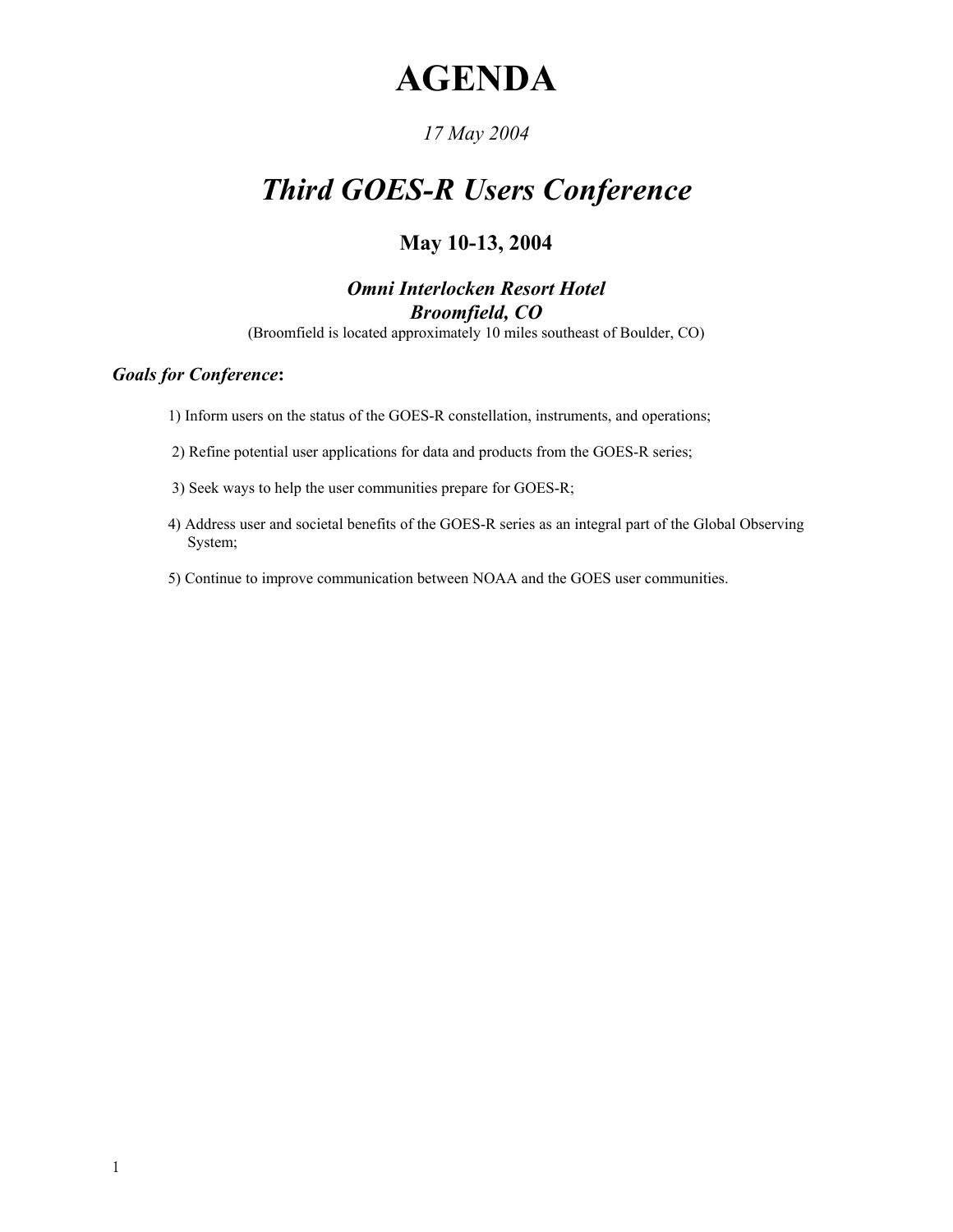# **AGENDA**

### *17 May 2004*

# *Third GOES-R Users Conference*

## **May 10-13, 2004**

### *Omni Interlocken Resort Hotel Broomfield, CO*

(Broomfield is located approximately 10 miles southeast of Boulder, CO)

#### *Goals for Conference***:**

1) Inform users on the status of the GOES-R constellation, instruments, and operations;

2) Refine potential user applications for data and products from the GOES-R series;

- 3) Seek ways to help the user communities prepare for GOES-R;
- 4) Address user and societal benefits of the GOES-R series as an integral part of the Global Observing System;
- 5) Continue to improve communication between NOAA and the GOES user communities.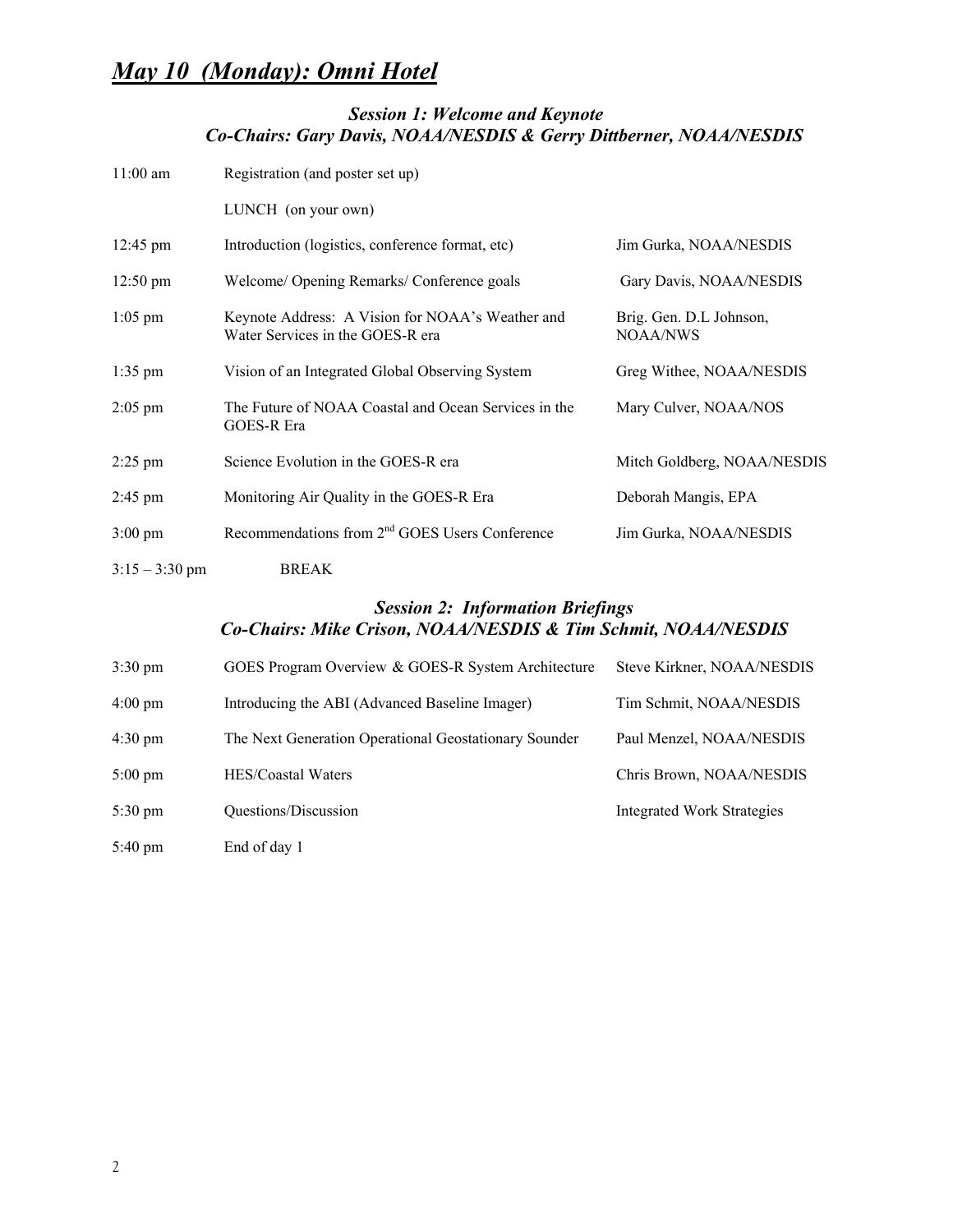### *Session 1: Welcome and Keynote Co-Chairs: Gary Davis, NOAA/NESDIS & Gerry Dittberner, NOAA/NESDIS*

| $11:00$ am         | Registration (and poster set up)                                                     |                                     |
|--------------------|--------------------------------------------------------------------------------------|-------------------------------------|
|                    | LUNCH (on your own)                                                                  |                                     |
| $12:45 \text{ pm}$ | Introduction (logistics, conference format, etc)                                     | Jim Gurka, NOAA/NESDIS              |
| $12:50 \text{ pm}$ | Welcome/ Opening Remarks/ Conference goals                                           | Gary Davis, NOAA/NESDIS             |
| $1:05$ pm          | Keynote Address: A Vision for NOAA's Weather and<br>Water Services in the GOES-R era | Brig. Gen. D.L Johnson,<br>NOAA/NWS |
| $1:35$ pm          | Vision of an Integrated Global Observing System                                      | Greg Withee, NOAA/NESDIS            |
| $2:05$ pm          | The Future of NOAA Coastal and Ocean Services in the<br>GOES-R Era                   | Mary Culver, NOAA/NOS               |
| $2:25$ pm          | Science Evolution in the GOES-R era                                                  | Mitch Goldberg, NOAA/NESDIS         |
| $2:45 \text{ pm}$  | Monitoring Air Quality in the GOES-R Era                                             | Deborah Mangis, EPA                 |
| $3:00 \text{ pm}$  | Recommendations from 2 <sup>nd</sup> GOES Users Conference                           | Jim Gurka, NOAA/NESDIS              |
| $3:15 - 3:30$ pm   | <b>BREAK</b>                                                                         |                                     |

#### *Session 2: Information Briefings Co-Chairs: Mike Crison, NOAA/NESDIS & Tim Schmit, NOAA/NESDIS*

| $3:30 \text{ pm}$ | GOES Program Overview & GOES-R System Architecture    | Steve Kirkner, NOAA/NESDIS |
|-------------------|-------------------------------------------------------|----------------------------|
| $4:00 \text{ pm}$ | Introducing the ABI (Advanced Baseline Imager)        | Tim Schmit, NOAA/NESDIS    |
| $4:30 \text{ pm}$ | The Next Generation Operational Geostationary Sounder | Paul Menzel, NOAA/NESDIS   |
| $5:00 \text{ pm}$ | HES/Coastal Waters                                    | Chris Brown, NOAA/NESDIS   |
| $5:30 \text{ pm}$ | Questions/Discussion                                  | Integrated Work Strategies |
| $5:40 \text{ pm}$ | End of day 1                                          |                            |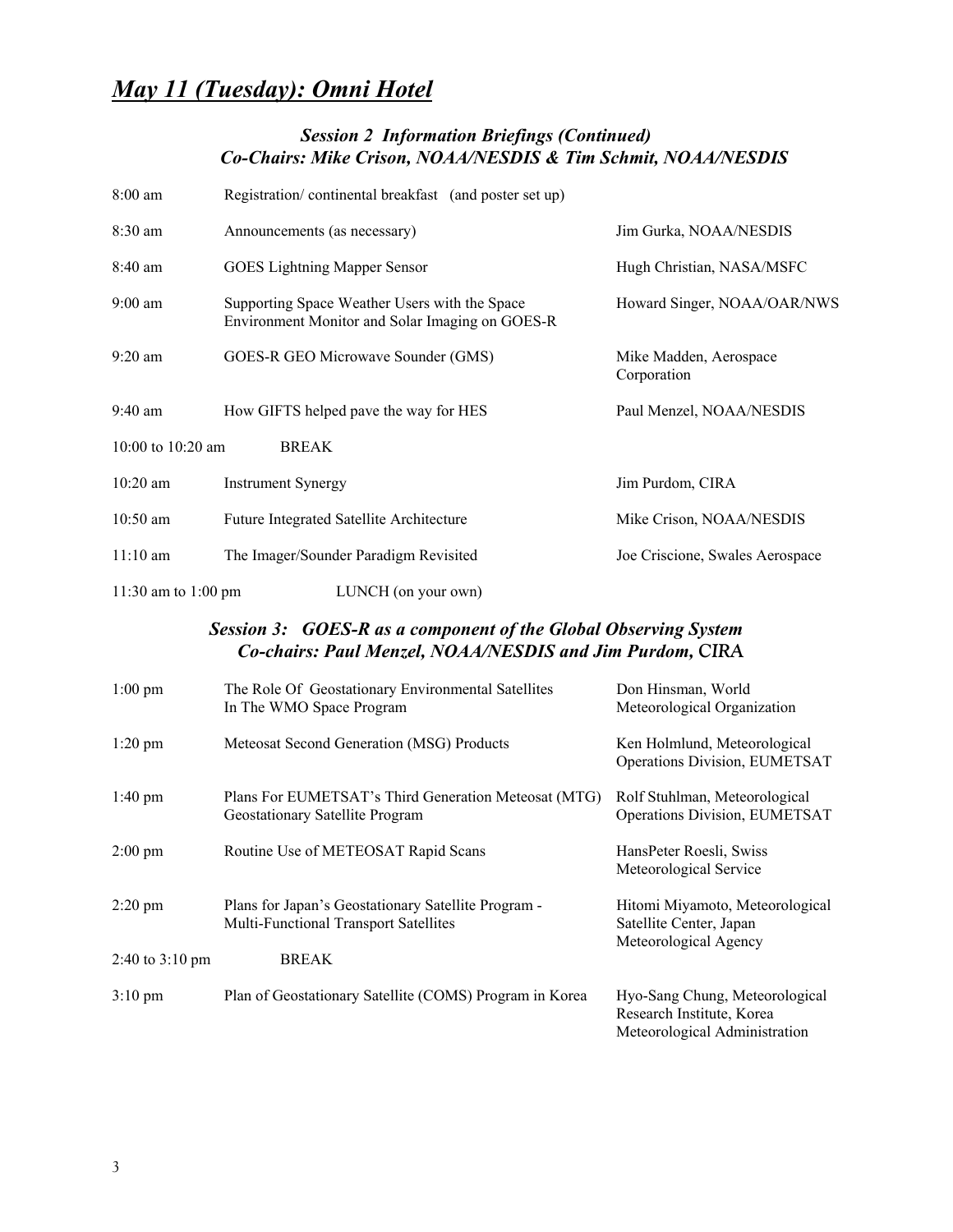# *May 11 (Tuesday): Omni Hotel*

#### *Session 2 Information Briefings (Continued) Co-Chairs: Mike Crison, NOAA/NESDIS & Tim Schmit, NOAA/NESDIS*

| $8:00$ am                           | Registration/continental breakfast (and poster set up)                                           |                                       |  |
|-------------------------------------|--------------------------------------------------------------------------------------------------|---------------------------------------|--|
| $8:30$ am                           | Announcements (as necessary)                                                                     | Jim Gurka, NOAA/NESDIS                |  |
| $8:40 \text{ am}$                   | <b>GOES</b> Lightning Mapper Sensor                                                              | Hugh Christian, NASA/MSFC             |  |
| $9:00$ am                           | Supporting Space Weather Users with the Space<br>Environment Monitor and Solar Imaging on GOES-R | Howard Singer, NOAA/OAR/NWS           |  |
| $9:20$ am                           | GOES-R GEO Microwave Sounder (GMS)                                                               | Mike Madden, Aerospace<br>Corporation |  |
| $9:40 \text{ am}$                   | How GIFTS helped pave the way for HES                                                            | Paul Menzel, NOAA/NESDIS              |  |
| 10:00 to $10:20$ am<br><b>BREAK</b> |                                                                                                  |                                       |  |
| $10:20$ am                          | <b>Instrument Synergy</b>                                                                        | Jim Purdom, CIRA                      |  |
| $10:50$ am                          | <b>Future Integrated Satellite Architecture</b>                                                  | Mike Crison, NOAA/NESDIS              |  |
| $11:10 \text{ am}$                  | The Imager/Sounder Paradigm Revisited                                                            | Joe Criscione, Swales Aerospace       |  |
| 11:30 am to 1:00 pm                 | LUNCH (on your own)                                                                              |                                       |  |

#### *Session 3: GOES-R as a component of the Global Observing System Co-chairs: Paul Menzel, NOAA/NESDIS and Jim Purdom, CIRA*

| $1:00$ pm                 | The Role Of Geostationary Environmental Satellites<br>In The WMO Space Program               | Don Hinsman, World<br>Meteorological Organization                                            |
|---------------------------|----------------------------------------------------------------------------------------------|----------------------------------------------------------------------------------------------|
| $1:20$ pm                 | Meteosat Second Generation (MSG) Products                                                    | Ken Holmlund, Meteorological<br>Operations Division, EUMETSAT                                |
| $1:40 \text{ pm}$         | Plans For EUMETSAT's Third Generation Meteosat (MTG)<br>Geostationary Satellite Program      | Rolf Stuhlman, Meteorological<br>Operations Division, EUMETSAT                               |
| $2:00 \text{ pm}$         | Routine Use of METEOSAT Rapid Scans                                                          | HansPeter Roesli, Swiss<br>Meteorological Service                                            |
| $2:20 \text{ pm}$         | Plans for Japan's Geostationary Satellite Program -<br>Multi-Functional Transport Satellites | Hitomi Miyamoto, Meteorological<br>Satellite Center, Japan<br>Meteorological Agency          |
| 2:40 to $3:10 \text{ pm}$ | <b>BREAK</b>                                                                                 |                                                                                              |
| $3:10 \text{ pm}$         | Plan of Geostationary Satellite (COMS) Program in Korea                                      | Hyo-Sang Chung, Meteorological<br>Research Institute, Korea<br>Meteorological Administration |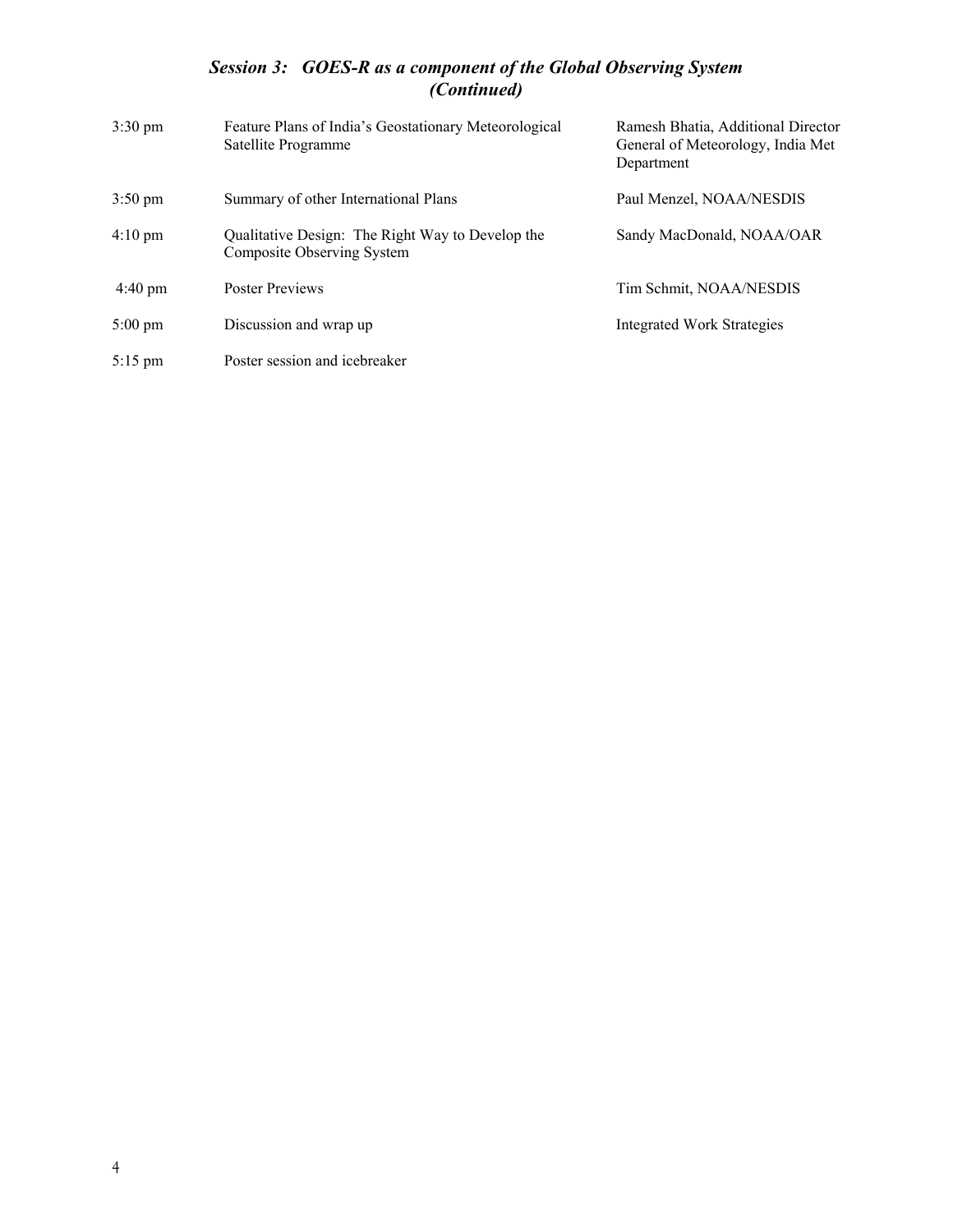#### *Session 3: GOES-R as a component of the Global Observing System (Continued)*

| $3:30 \text{ pm}$ | Feature Plans of India's Geostationary Meteorological<br>Satellite Programme   | Ramesh Bhatia, Additional Director<br>General of Meteorology, India Met<br>Department |
|-------------------|--------------------------------------------------------------------------------|---------------------------------------------------------------------------------------|
| $3:50 \text{ pm}$ | Summary of other International Plans                                           | Paul Menzel, NOAA/NESDIS                                                              |
| $4:10 \text{ pm}$ | Qualitative Design: The Right Way to Develop the<br>Composite Observing System | Sandy MacDonald, NOAA/OAR                                                             |
| $4:40 \text{ pm}$ | <b>Poster Previews</b>                                                         | Tim Schmit, NOAA/NESDIS                                                               |
| $5:00 \text{ pm}$ | Discussion and wrap up                                                         | <b>Integrated Work Strategies</b>                                                     |
| $5:15$ pm         | Poster session and icebreaker                                                  |                                                                                       |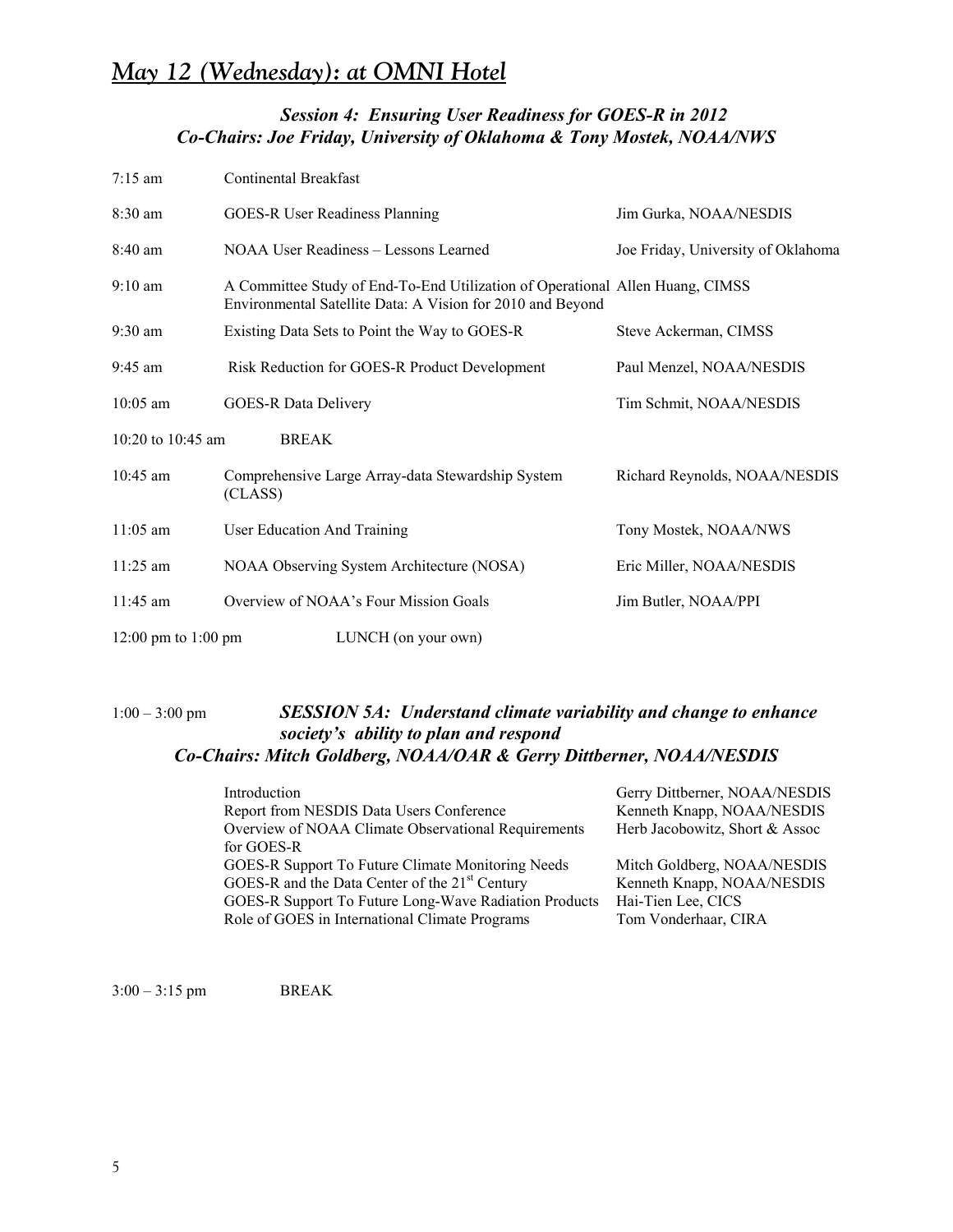#### *Session 4: Ensuring User Readiness for GOES-R in 2012 Co-Chairs: Joe Friday, University of Oklahoma & Tony Mostek, NOAA/NWS*

| $7:15 \text{ am}$   | Continental Breakfast                                                                                                                       |                                    |
|---------------------|---------------------------------------------------------------------------------------------------------------------------------------------|------------------------------------|
| $8:30$ am           | <b>GOES-R User Readiness Planning</b>                                                                                                       | Jim Gurka, NOAA/NESDIS             |
| $8:40$ am           | NOAA User Readiness – Lessons Learned                                                                                                       | Joe Friday, University of Oklahoma |
| $9:10$ am           | A Committee Study of End-To-End Utilization of Operational Allen Huang, CIMSS<br>Environmental Satellite Data: A Vision for 2010 and Beyond |                                    |
| $9:30$ am           | Existing Data Sets to Point the Way to GOES-R                                                                                               | Steve Ackerman, CIMSS              |
| $9:45$ am           | Risk Reduction for GOES-R Product Development                                                                                               | Paul Menzel, NOAA/NESDIS           |
| $10:05$ am          | <b>GOES-R Data Delivery</b>                                                                                                                 | Tim Schmit, NOAA/NESDIS            |
| 10:20 to 10:45 am   | <b>BREAK</b>                                                                                                                                |                                    |
| $10:45$ am          | Comprehensive Large Array-data Stewardship System<br>(CLASS)                                                                                | Richard Reynolds, NOAA/NESDIS      |
| $11:05$ am          | User Education And Training                                                                                                                 | Tony Mostek, NOAA/NWS              |
| $11:25$ am          | NOAA Observing System Architecture (NOSA)                                                                                                   | Eric Miller, NOAA/NESDIS           |
| $11:45$ am          | Overview of NOAA's Four Mission Goals                                                                                                       | Jim Butler, NOAA/PPI               |
| 12:00 pm to 1:00 pm | LUNCH (on your own)                                                                                                                         |                                    |

#### 1:00 – 3:00 pm *SESSION 5A: Understand climate variability and change to enhance society's ability to plan and respond Co-Chairs: Mitch Goldberg, NOAA/OAR & Gerry Dittberner, NOAA/NESDIS*

| Introduction                                                      | Gerry Dittberner, NOAA/NESDIS  |
|-------------------------------------------------------------------|--------------------------------|
| Report from NESDIS Data Users Conference                          | Kenneth Knapp, NOAA/NESDIS     |
| Overview of NOAA Climate Observational Requirements<br>for GOES-R | Herb Jacobowitz, Short & Assoc |
| GOES-R Support To Future Climate Monitoring Needs                 | Mitch Goldberg, NOAA/NESDIS    |
| GOES-R and the Data Center of the 21 <sup>st</sup> Century        | Kenneth Knapp, NOAA/NESDIS     |
| GOES-R Support To Future Long-Wave Radiation Products             | Hai-Tien Lee, CICS             |
| Role of GOES in International Climate Programs                    | Tom Vonderhaar, CIRA           |
|                                                                   |                                |

3:00 – 3:15 pm BREAK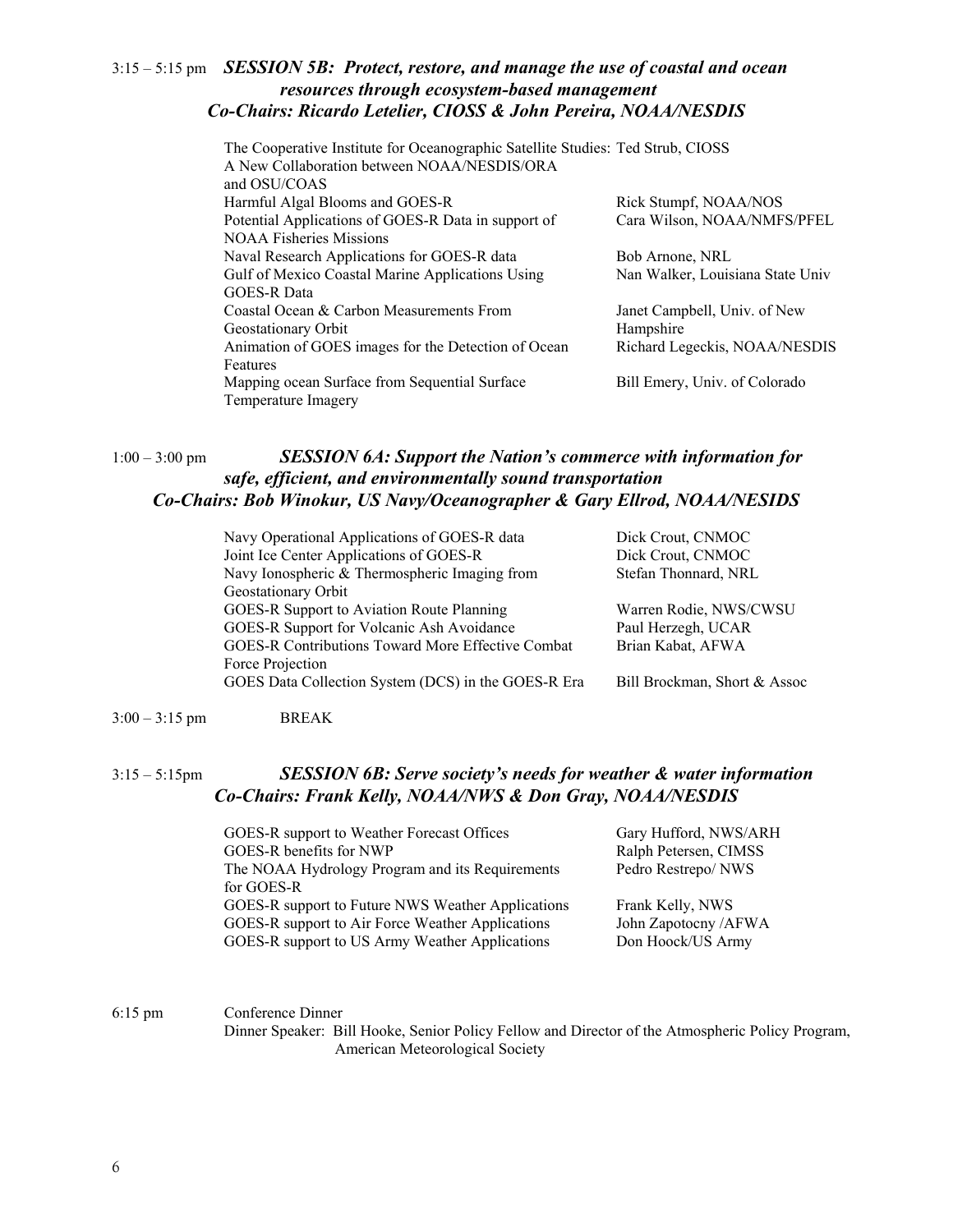#### 3:15 – 5:15 pm *SESSION 5B: Protect, restore, and manage the use of coastal and ocean resources through ecosystem-based management Co-Chairs: Ricardo Letelier, CIOSS & John Pereira, NOAA/NESDIS*

| The Cooperative Institute for Oceanographic Satellite Studies: Ted Strub, CIOSS<br>A New Collaboration between NOAA/NESDIS/ORA<br>and OSU/COAS |                                  |
|------------------------------------------------------------------------------------------------------------------------------------------------|----------------------------------|
| Harmful Algal Blooms and GOES-R                                                                                                                | Rick Stumpf, NOAA/NOS            |
| Potential Applications of GOES-R Data in support of                                                                                            | Cara Wilson, NOAA/NMFS/PFEL      |
| <b>NOAA Fisheries Missions</b>                                                                                                                 |                                  |
| Naval Research Applications for GOES-R data                                                                                                    | Bob Arnone, NRL                  |
| Gulf of Mexico Coastal Marine Applications Using                                                                                               | Nan Walker, Louisiana State Univ |
| <b>GOES-R Data</b>                                                                                                                             |                                  |
| Coastal Ocean & Carbon Measurements From                                                                                                       | Janet Campbell, Univ. of New     |
| Geostationary Orbit                                                                                                                            | Hampshire                        |
| Animation of GOES images for the Detection of Ocean                                                                                            | Richard Legeckis, NOAA/NESDIS    |
| Features                                                                                                                                       |                                  |
| Mapping ocean Surface from Sequential Surface                                                                                                  | Bill Emery, Univ. of Colorado    |
| Temperature Imagery                                                                                                                            |                                  |

#### 1:00 – 3:00 pm *SESSION 6A: Support the Nation's commerce with information for safe, efficient, and environmentally sound transportation Co-Chairs: Bob Winokur, US Navy/Oceanographer & Gary Ellrod, NOAA/NESIDS*

| Navy Operational Applications of GOES-R data             | Dick Crout, CNMOC            |
|----------------------------------------------------------|------------------------------|
| Joint Ice Center Applications of GOES-R                  | Dick Crout, CNMOC            |
| Navy Ionospheric & Thermospheric Imaging from            | Stefan Thonnard, NRL         |
| Geostationary Orbit                                      |                              |
| GOES-R Support to Aviation Route Planning                | Warren Rodie, NWS/CWSU       |
| GOES-R Support for Volcanic Ash Avoidance                | Paul Herzegh, UCAR           |
| <b>GOES-R Contributions Toward More Effective Combat</b> | Brian Kabat, AFWA            |
| Force Projection                                         |                              |
| GOES Data Collection System (DCS) in the GOES-R Era      | Bill Brockman, Short & Assoc |
|                                                          |                              |

3:00 – 3:15 pm BREAK

#### 3:15 – 5:15pm *SESSION 6B: Serve society's needs for weather & water information Co-Chairs: Frank Kelly, NOAA/NWS & Don Gray, NOAA/NESDIS*

GOES-R support to Weather Forecast Offices Gary Hufford, NWS/ARH GOES-R benefits for NWP Ralph Petersen, CIMSS The NOAA Hydrology Program and its Requirements Pedro Restrepo/ NWS for GOES-R GOES-R support to Future NWS Weather Applications Frank Kelly, NWS GOES-R support to Air Force Weather Applications John Zapotocny /AFWA GOES-R support to US Army Weather Applications Don Hoock/US Army

6:15 pm Conference Dinner

Dinner Speaker: Bill Hooke, Senior Policy Fellow and Director of the Atmospheric Policy Program, American Meteorological Society